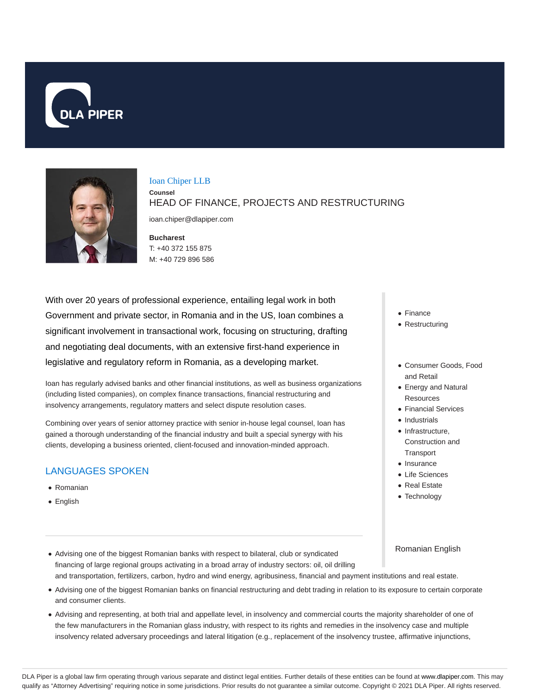



#### Ioan Chiper LLB

**Counsel** HEAD OF FINANCE, PROJECTS AND RESTRUCTURING

ioan.chiper@dlapiper.com

**Bucharest** T: +40 372 155 875 M: +40 729 896 586

With over 20 years of professional experience, entailing legal work in both Government and private sector, in Romania and in the US, Ioan combines a significant involvement in transactional work, focusing on structuring, drafting and negotiating deal documents, with an extensive first-hand experience in legislative and regulatory reform in Romania, as a developing market.

Ioan has regularly advised banks and other financial institutions, as well as business organizations (including listed companies), on complex finance transactions, financial restructuring and insolvency arrangements, regulatory matters and select dispute resolution cases.

Combining over years of senior attorney practice with senior in-house legal counsel, Ioan has gained a thorough understanding of the financial industry and built a special synergy with his clients, developing a business oriented, client-focused and innovation-minded approach.

# LANGUAGES SPOKEN

- Romanian
- English
- Finance
- Restructuring
- Consumer Goods, Food and Retail
- Energy and Natural **Resources**
- Financial Services
- Industrials
- Infrastructure, Construction and **Transport**
- Insurance
- Life Sciences
- Real Estate
- Technology

### Romanian English

- Advising one of the biggest Romanian banks with respect to bilateral, club or syndicated financing of large regional groups activating in a broad array of industry sectors: oil, oil drilling and transportation, fertilizers, carbon, hydro and wind energy, agribusiness, financial and payment institutions and real estate.
- Advising one of the biggest Romanian banks on financial restructuring and debt trading in relation to its exposure to certain corporate and consumer clients.
- Advising and representing, at both trial and appellate level, in insolvency and commercial courts the majority shareholder of one of the few manufacturers in the Romanian glass industry, with respect to its rights and remedies in the insolvency case and multiple insolvency related adversary proceedings and lateral litigation (e.g., replacement of the insolvency trustee, affirmative injunctions,

DLA Piper is a global law firm operating through various separate and distinct legal entities. Further details of these entities can be found at www.dlapiper.com. This may qualify as "Attorney Advertising" requiring notice in some jurisdictions. Prior results do not guarantee a similar outcome. Copyright © 2021 DLA Piper. All rights reserved.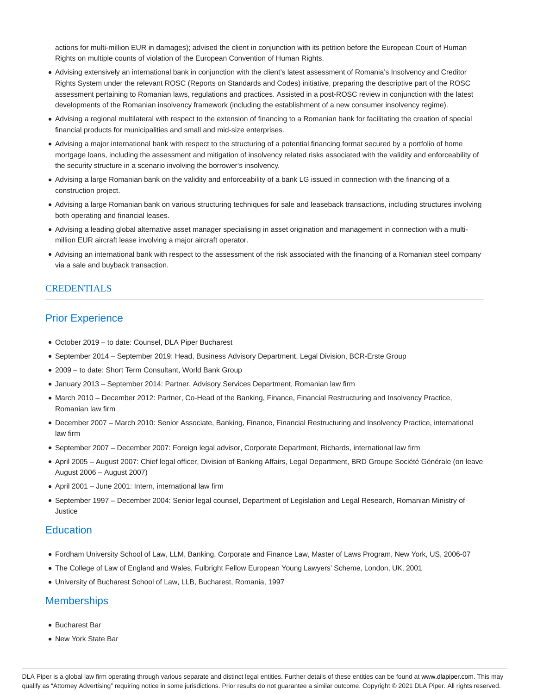actions for multi-million EUR in damages); advised the client in conjunction with its petition before the European Court of Human Rights on multiple counts of violation of the European Convention of Human Rights.

- Advising extensively an international bank in conjunction with the client's latest assessment of Romania's Insolvency and Creditor Rights System under the relevant ROSC (Reports on Standards and Codes) initiative, preparing the descriptive part of the ROSC assessment pertaining to Romanian laws, regulations and practices. Assisted in a post-ROSC review in conjunction with the latest developments of the Romanian insolvency framework (including the establishment of a new consumer insolvency regime).
- Advising a regional multilateral with respect to the extension of financing to a Romanian bank for facilitating the creation of special financial products for municipalities and small and mid-size enterprises.
- Advising a major international bank with respect to the structuring of a potential financing format secured by a portfolio of home mortgage loans, including the assessment and mitigation of insolvency related risks associated with the validity and enforceability of the security structure in a scenario involving the borrower's insolvency.
- Advising a large Romanian bank on the validity and enforceability of a bank LG issued in connection with the financing of a construction project.
- Advising a large Romanian bank on various structuring techniques for sale and leaseback transactions, including structures involving both operating and financial leases.
- Advising a leading global alternative asset manager specialising in asset origination and management in connection with a multimillion EUR aircraft lease involving a major aircraft operator.
- Advising an international bank with respect to the assessment of the risk associated with the financing of a Romanian steel company via a sale and buyback transaction.

### **CREDENTIALS**

## Prior Experience

- October 2019 to date: Counsel, DLA Piper Bucharest
- September 2014 September 2019: Head, Business Advisory Department, Legal Division, BCR-Erste Group
- 2009 to date: Short Term Consultant, World Bank Group
- January 2013 September 2014: Partner, Advisory Services Department, Romanian law firm
- March 2010 December 2012: Partner, Co-Head of the Banking, Finance, Financial Restructuring and Insolvency Practice, Romanian law firm
- December 2007 March 2010: Senior Associate, Banking, Finance, Financial Restructuring and Insolvency Practice, international law firm
- September 2007 December 2007: Foreign legal advisor, Corporate Department, Richards, international law firm
- April 2005 August 2007: Chief legal officer, Division of Banking Affairs, Legal Department, BRD Groupe Société Générale (on leave August 2006 – August 2007)
- April 2001 June 2001: Intern, international law firm
- September 1997 December 2004: Senior legal counsel, Department of Legislation and Legal Research, Romanian Ministry of Justice

### **Education**

- Fordham University School of Law, LLM, Banking, Corporate and Finance Law, Master of Laws Program, New York, US, 2006-07
- The College of Law of England and Wales, Fulbright Fellow European Young Lawyers' Scheme, London, UK, 2001
- University of Bucharest School of Law, LLB, Bucharest, Romania, 1997

### **Memberships**

- Bucharest Bar
- New York State Bar